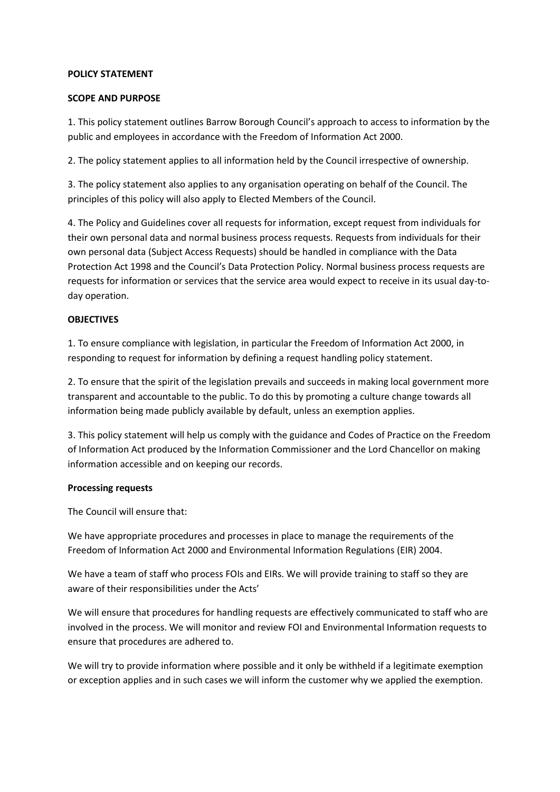#### **POLICY STATEMENT**

#### **SCOPE AND PURPOSE**

1. This policy statement outlines Barrow Borough Council's approach to access to information by the public and employees in accordance with the Freedom of Information Act 2000.

2. The policy statement applies to all information held by the Council irrespective of ownership.

3. The policy statement also applies to any organisation operating on behalf of the Council. The principles of this policy will also apply to Elected Members of the Council.

4. The Policy and Guidelines cover all requests for information, except request from individuals for their own personal data and normal business process requests. Requests from individuals for their own personal data (Subject Access Requests) should be handled in compliance with the Data Protection Act 1998 and the Council's Data Protection Policy. Normal business process requests are requests for information or services that the service area would expect to receive in its usual day-today operation.

### **OBJECTIVES**

1. To ensure compliance with legislation, in particular the Freedom of Information Act 2000, in responding to request for information by defining a request handling policy statement.

2. To ensure that the spirit of the legislation prevails and succeeds in making local government more transparent and accountable to the public. To do this by promoting a culture change towards all information being made publicly available by default, unless an exemption applies.

3. This policy statement will help us comply with the guidance and Codes of Practice on the Freedom of Information Act produced by the Information Commissioner and the Lord Chancellor on making information accessible and on keeping our records.

### **Processing requests**

The Council will ensure that:

We have appropriate procedures and processes in place to manage the requirements of the Freedom of Information Act 2000 and Environmental Information Regulations (EIR) 2004.

We have a team of staff who process FOIs and EIRs. We will provide training to staff so they are aware of their responsibilities under the Acts'

We will ensure that procedures for handling requests are effectively communicated to staff who are involved in the process. We will monitor and review FOI and Environmental Information requests to ensure that procedures are adhered to.

We will try to provide information where possible and it only be withheld if a legitimate exemption or exception applies and in such cases we will inform the customer why we applied the exemption.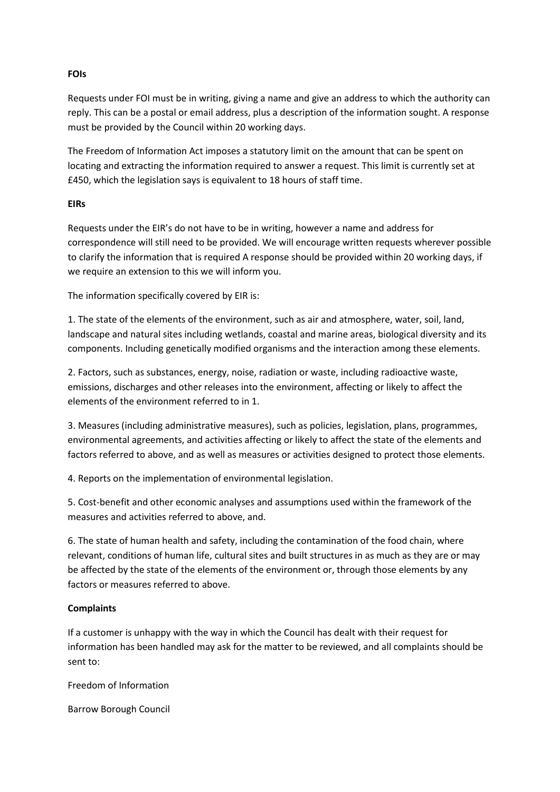# **FOIs**

Requests under FOI must be in writing, giving a name and give an address to which the authority can reply. This can be a postal or email address, plus a description of the information sought. A response must be provided by the Council within 20 working days.

The Freedom of Information Act imposes a statutory limit on the amount that can be spent on locating and extracting the information required to answer a request. This limit is currently set at £450, which the legislation says is equivalent to 18 hours of staff time.

# **EIRs**

Requests under the EIR's do not have to be in writing, however a name and address for correspondence will still need to be provided. We will encourage written requests wherever possible to clarify the information that is required A response should be provided within 20 working days, if we require an extension to this we will inform you.

The information specifically covered by EIR is:

1. The state of the elements of the environment, such as air and atmosphere, water, soil, land, landscape and natural sites including wetlands, coastal and marine areas, biological diversity and its components. Including genetically modified organisms and the interaction among these elements.

2. Factors, such as substances, energy, noise, radiation or waste, including radioactive waste, emissions, discharges and other releases into the environment, affecting or likely to affect the elements of the environment referred to in 1.

3. Measures (including administrative measures), such as policies, legislation, plans, programmes, environmental agreements, and activities affecting or likely to affect the state of the elements and factors referred to above, and as well as measures or activities designed to protect those elements.

4. Reports on the implementation of environmental legislation.

5. Cost-benefit and other economic analyses and assumptions used within the framework of the measures and activities referred to above, and.

6. The state of human health and safety, including the contamination of the food chain, where relevant, conditions of human life, cultural sites and built structures in as much as they are or may be affected by the state of the elements of the environment or, through those elements by any factors or measures referred to above.

# **Complaints**

If a customer is unhappy with the way in which the Council has dealt with their request for information has been handled may ask for the matter to be reviewed, and all complaints should be sent to:

Freedom of Information

Barrow Borough Council